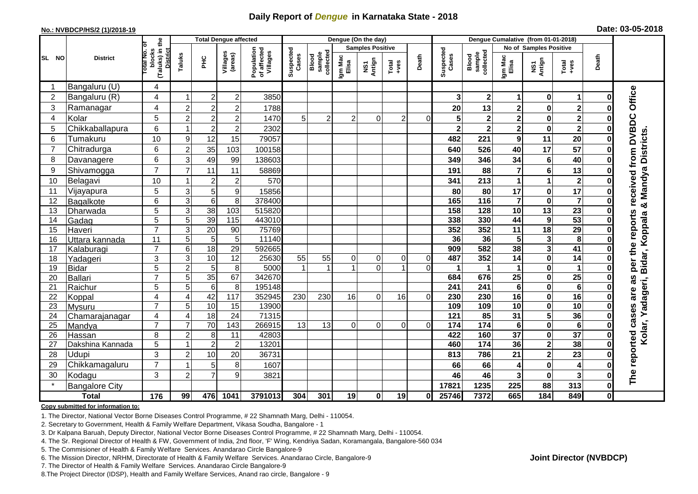## **Daily Report of** *Dengue* **in Karnataka State - 2018**

#### **No.: NVBDCP/HS/2 (1)/2018-19**

|  | Date: 03-05-2018 |  |
|--|------------------|--|
|--|------------------|--|

|                |                            |                                                   |                           |                       | <b>Total Dengue affected</b> |                                       | Dengue (On the day) |                              |                  |                         |                  |                |                    | Dengue Cumalative (from 01-01-2018) |                         |                            |                                    |              |                                         |
|----------------|----------------------------|---------------------------------------------------|---------------------------|-----------------------|------------------------------|---------------------------------------|---------------------|------------------------------|------------------|-------------------------|------------------|----------------|--------------------|-------------------------------------|-------------------------|----------------------------|------------------------------------|--------------|-----------------------------------------|
|                | <b>District</b>            | ō                                                 |                           |                       |                              |                                       |                     |                              |                  | <b>Samples Positive</b> |                  |                |                    |                                     |                         | No of Samples Positive     |                                    |              |                                         |
| SL NO          |                            | (Taluks) in the<br>District<br>otal No.<br>blocks | Taluks                    | PНC                   | Villages<br>(areas)          | Population<br>of affected<br>Villages | Suspected<br>Cases  | sample<br>collected<br>Blood | Igm Mac<br>Elisa | NS1<br>Antign           | Total<br>$+ve$ s | Death          | Suspected<br>Cases | sample<br>collected<br>Blood        | Igm Mac<br>Elisa        | NS1<br>Antign              | Total<br>+ves                      | Death        |                                         |
| -1             | Bangaluru (U)              | 4                                                 |                           |                       |                              |                                       |                     |                              |                  |                         |                  |                |                    |                                     |                         |                            |                                    |              |                                         |
| $\overline{2}$ | Bangaluru (R)              | 4                                                 |                           | $\overline{2}$        | $\overline{c}$               | 3850                                  |                     |                              |                  |                         |                  |                | 3                  | 2 <sub>1</sub>                      | 1                       | $\bf{0}$                   | $\blacktriangleleft$               | ŋ            |                                         |
| 3              | Ramanagar                  | 4                                                 | $\overline{c}$            | $\mathbf 2$           | $\overline{c}$               | 1788                                  |                     |                              |                  |                         |                  |                | 20                 | 13                                  | 2                       | $\bf{0}$                   | $\boldsymbol{2}$                   |              | Office                                  |
| $\overline{4}$ | Kolar                      | 5                                                 | $\overline{2}$            | $\overline{2}$        | $\overline{c}$               | 1470                                  | 5                   | $\overline{2}$               | $\overline{2}$   | $\Omega$                | $\overline{2}$   | 0              |                    | $\mathbf 2$                         | $\overline{\mathbf{c}}$ | $\bf{0}$                   | $\overline{\mathbf{2}}$            | ŋ            |                                         |
| 5              | Chikkaballapura            | 6                                                 |                           | $\overline{2}$        | $\overline{c}$               | 2302                                  |                     |                              |                  |                         |                  |                | $\overline{2}$     | $\overline{\mathbf{2}}$             | $\overline{\mathbf{2}}$ | $\mathbf 0$                | $\overline{\mathbf{2}}$            | 0            |                                         |
| 6              | Tumakuru                   | 10                                                | 9                         | 12                    | 15                           | 79057                                 |                     |                              |                  |                         |                  |                | 482                | 221                                 | 9                       | 11                         | 20                                 | 0            |                                         |
| $\overline{7}$ | Chitradurga                | 6                                                 | $\overline{c}$            | 35                    | 103                          | 100158                                |                     |                              |                  |                         |                  |                | 640                | 526                                 | 40                      | $\overline{17}$            | $\overline{57}$                    | $\bf{0}$     |                                         |
| 8              | Davanagere                 | 6                                                 | 3                         | 49                    | 99                           | 138603                                |                     |                              |                  |                         |                  |                | 349                | 346                                 | 34                      | $\bf 6$                    | 40                                 | $\bf{0}$     |                                         |
| 9              | Shivamogga                 | $\overline{7}$                                    | $\overline{7}$            | 11                    | 11                           | 58869                                 |                     |                              |                  |                         |                  |                | 191                | 88                                  | 7                       | $\bf 6$                    | 13                                 | O            | received from DVBDC<br>Mandya Districts |
| 10             | Belagavi                   | 10                                                |                           | $\boldsymbol{2}$      | $\overline{c}$               | 570                                   |                     |                              |                  |                         |                  |                | 341                | 213                                 | 1                       | $\overline{1}$             | $\mathbf 2$                        |              |                                         |
| 11             | Vijayapura                 | 5                                                 | 3                         | 5                     | 9                            | 15856                                 |                     |                              |                  |                         |                  |                | 80                 | 80                                  | 17                      | $\bf{0}$                   | 17                                 |              |                                         |
| 12             | Bagalkote                  | 6                                                 | $\overline{3}$            | $\overline{6}$        | 8                            | 378400                                |                     |                              |                  |                         |                  |                | 165                | $\frac{116}{116}$                   | $\overline{\mathbf{7}}$ | $\overline{\mathbf{0}}$    | $\overline{\mathbf{7}}$            | 0            | ×                                       |
| 13             | Dharwada                   | 5                                                 | $\ensuremath{\mathsf{3}}$ | 38                    | $\frac{103}{2}$              | 515820                                |                     |                              |                  |                         |                  |                | 158                | 128                                 | $\overline{10}$         | $\overline{13}$            | $\overline{23}$                    | 0            |                                         |
| 14             | Gadag                      | 5                                                 | 5                         | 39                    | 115                          | 443010                                |                     |                              |                  |                         |                  |                | 338                | 330                                 | 44                      | $\boldsymbol{9}$           | $\overline{53}$                    |              |                                         |
| 15             | Haveri                     | $\overline{7}$                                    | 3                         | 20                    | 90                           | 75769                                 |                     |                              |                  |                         |                  |                | 352                | 352                                 | 11                      | 18                         | 29                                 | O            |                                         |
| 16             | Uttara kannada             | 11                                                | 5                         | 5                     | $\sqrt{5}$                   | 11140                                 |                     |                              |                  |                         |                  |                | 36                 | 36                                  | 5                       | $\mathbf{3}$               | 8                                  |              | per the reports                         |
| 17             | Kalaburagi                 | $\overline{7}$                                    | $6\phantom{1}6$           | $\overline{18}$       | $\overline{29}$              | 592665                                |                     |                              |                  |                         |                  |                | 909                | 582                                 | 38                      | $\overline{\mathbf{3}}$    | $\overline{41}$                    | O            |                                         |
| 18             | Yadageri                   | 3                                                 | 3                         | 10                    | 12                           | 25630                                 | 55                  | 55                           | $\Omega$         | $\mathbf 0$             | $\Omega$         | $\overline{0}$ | 487                | 352                                 | 14                      | $\mathbf 0$                | 14                                 | O            |                                         |
| 19             | <b>Bidar</b>               | 5                                                 | $\overline{2}$            | 5                     | 8                            | 5000                                  | 1                   | $\mathbf{1}$                 |                  | $\Omega$                | 1                | 0              |                    |                                     | 1                       | $\pmb{0}$                  | 1                                  | 0            |                                         |
| 20             | <b>Ballari</b>             | $\overline{7}$                                    | 5                         | 35                    | 67                           | 342670                                |                     |                              |                  |                         |                  |                | 684                | 676                                 | $\overline{25}$         | $\mathbf 0$                | $\overline{25}$                    |              | as                                      |
| 21             | Raichur                    | 5                                                 | 5                         | $\,6\,$               | 8                            | 195148                                |                     |                              |                  |                         |                  |                | 241                | 241                                 | 6                       | $\pmb{0}$                  | $\overline{6}$                     |              | are                                     |
| 22             | Koppal                     | 4                                                 | $\overline{4}$            | 42                    | 117                          | 352945                                | 230                 | 230                          | <b>16</b>        | $\Omega$                | 16               | $\Omega$       | 230                | 230                                 | 16                      | $\mathbf 0$                | 16                                 |              |                                         |
| 23             | Mysuru                     | $\overline{7}$                                    | 5                         | 10                    | $\overline{15}$              | 13900                                 |                     |                              |                  |                         |                  |                | 109                | 109                                 | 10                      | $\overline{\mathbf{0}}$    | $\overline{10}$                    | 0            |                                         |
| 24             | Chamarajanagar             | 4<br>$\overline{7}$                               | 4<br>$\overline{7}$       | $\overline{18}$<br>70 | $\overline{24}$              | 71315                                 |                     |                              |                  |                         |                  |                | 121                | 85<br>$\overline{174}$              | 31                      | $\overline{\mathbf{5}}$    | 36                                 | 0<br>U       | Kolar, Yadageri, Bidar, Koppala         |
| 25<br>26       | Mandya                     | 8                                                 | $\overline{2}$            | 8                     | $\overline{143}$<br>11       | 266915<br>42803                       | 13                  | 13                           | $\Omega$         | $\Omega$                | $\Omega$         | 0              | 174<br>422         | 160                                 | 6<br>$\overline{37}$    | $\mathbf 0$<br>$\mathbf 0$ | $6\phantom{1}6$<br>$\overline{37}$ |              |                                         |
| 27             | Hassan<br>Dakshina Kannada | 5                                                 | 1                         | $\overline{2}$        | $\overline{c}$               | 13201                                 |                     |                              |                  |                         |                  |                | 460                | $\overline{174}$                    | 36                      | $\overline{\mathbf{2}}$    | 38                                 | 0<br>0       |                                         |
| 28             | Udupi                      | 3                                                 | $\overline{2}$            | 10                    | 20                           | 36731                                 |                     |                              |                  |                         |                  |                | 813                | 786                                 | 21                      | $\mathbf{2}$               | 23                                 | O            |                                         |
| 29             | Chikkamagaluru             | $\overline{7}$                                    |                           | 5                     | 8                            | 1607                                  |                     |                              |                  |                         |                  |                | 66                 | 66                                  |                         | $\mathbf 0$                | 4                                  |              | reported cases                          |
| 30             |                            | 3                                                 |                           | $\overline{7}$        | 9                            | 3821                                  |                     |                              |                  |                         |                  |                | 46                 | 46                                  | 4<br>3                  | $\mathbf 0$                |                                    | O            |                                         |
|                | Kodagu                     |                                                   | $\overline{2}$            |                       |                              |                                       |                     |                              |                  |                         |                  |                | 17821              | 1235                                | 225                     | 88                         | 3<br>313                           |              | The                                     |
|                | <b>Bangalore City</b>      |                                                   |                           |                       |                              |                                       |                     |                              |                  |                         |                  |                |                    |                                     |                         |                            |                                    | $\mathbf{0}$ |                                         |
|                | <b>Total</b>               | $\frac{1}{176}$                                   | 99                        | 476                   | 1041                         | 3791013                               | 304                 | 301                          | 19               | $\mathbf 0$             | 19               | 0I             | 25746              | 7372                                | 665                     | 184                        | 849                                | 0            |                                         |

#### **Copy submitted for information to:**

1. The Director, National Vector Borne Diseases Control Programme, # 22 Shamnath Marg, Delhi - 110054.

2. Secretary to Government, Health & Family Welfare Department, Vikasa Soudha, Bangalore - 1

3. Dr Kalpana Baruah, Deputy Director, National Vector Borne Diseases Control Programme, # 22 Shamnath Marg, Delhi - 110054.

4. The Sr. Regional Director of Health & FW, Government of India, 2nd floor, 'F' Wing, Kendriya Sadan, Koramangala, Bangalore-560 034

5. The Commisioner of Health & Family Welfare Services. Anandarao Circle Bangalore-9

6. The Mission Director, NRHM, Directorate of Health & Family Welfare Services. Anandarao Circle, Bangalore-9

7. The Director of Health & Family Welfare Services. Anandarao Circle Bangalore-9

8.The Project Director (IDSP), Health and Family Welfare Services, Anand rao circle, Bangalore - 9